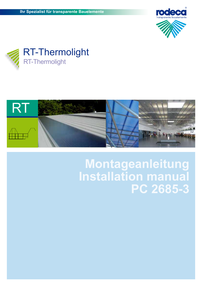





## **Montageanleitung Installation manual PC 2685-3**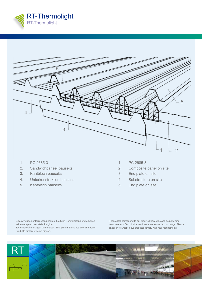

| <b>COMPANY</b>       |   |                |
|----------------------|---|----------------|
| =                    |   |                |
|                      |   |                |
|                      |   |                |
|                      |   | 5              |
| $\overline{4}$<br>٦. |   |                |
|                      | 3 |                |
|                      |   |                |
|                      |   | $\overline{2}$ |
|                      |   |                |

- 1. PC 2685-3
- 2. Sandwichpaneel bauseits
- 3. Kantblech bauseits
- 4. Unterkonstruktion bauseits
- 5. Kantblech bauseits
- 1. PC 2685-3
- 2. Composite panel on site
- 3. End plate on site
- 4. Substructure on site
- 5. End plate on site

Diese Angaben entsprechen unserem heutigen Kenntnisstand und erheben keinen Anspruch auf Vollständigkeit.

Technische Änderungen vorbehalten. Bitte prüfen Sie selbst, ob sich unsere Produkte für Ihre Zwecke eignen.

These data correspond to our today´s knowledge and do not claim completeness. Technical amendments are subjected to change. Please check by yourself, if our products comply with your requirements.

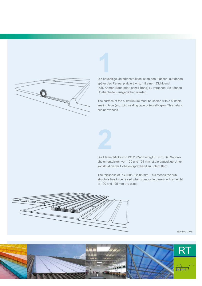

**1** Die bauseitige Unterkonstruktion ist an den Flächen, auf denen später das Paneel platziert wird, mit einem Dichtband (z.B. Kompri-Band oder Isozell-Band) zu versehen. So können Unebenheiten ausgeglichen werden.

The surface of the substructure must be sealed with a suitable sealing tape (e.g. joint sealing tape or isocell-tape). This balances uneveness.



Die Elementdicke von PC 2685-3 beträgt 85 mm. Bei Sandwichelementdicken von 100 und 125 mm ist die bauseitige Unterkonstruktion der Höhe entsprechend zu unterfüttern.

The thickness of PC 2685-3 is 85 mm. This means the substructure has to be raised when composite panels with a height of 100 and 125 mm are used.



Stand 09 / 2012

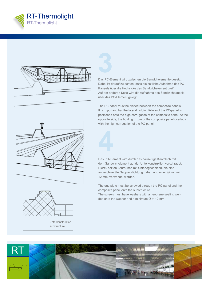







Unterkonstruktion substructure

**3** Das PC-Element wird zwischen die Sanwichelemente gesetzt. Dabei ist darauf zu achten, dass die seitliche Aufnahme des PC-Paneels über die Hochsicke des Sandwichelement greift. Auf der anderen Seite wird die Aufnahme des Sandwichpaneels über das PC-Element gelegt.

The PC-panel must be placed between the composite panels. It is important that the lateral holding fixture of the PC-panel is positioned onto the high corrugation of the composite panel. At the opposite side, the holding fixture of the composite panel overlaps with the high corrugation of the PC-panel.

Das PC-Element wird durch das bauseitige Kantblech mit dem Sandwichelement auf der Unterkonstruktion verschraubt. Hierzu sollten Schrauben mit Unterlegscheiben, die eine angeschweißte Neoprendichtung haben und einen Ø von min. 12 mm, verwendet werden. **4**

The end plate must be screwed through the PC-panel and the composite panel onto the substructure.

The screws must have washers with a neoprene sealing welded onto the washer and a minimum Ø of 12 mm.

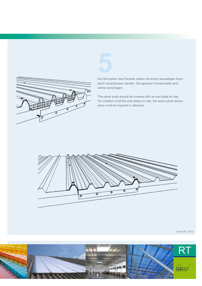

**5** Die Stirnseiten des Paneels sollten mit einem bauseitigen Kantblech verschlossen werden. Die genauen Paneelmaße sind vorher anzufragen.

The panel ends should be covered with an end plate on site. For creation of all the end plates on site, the exact panel dimensions must be inquired in advance.



Stand 09 / 2012